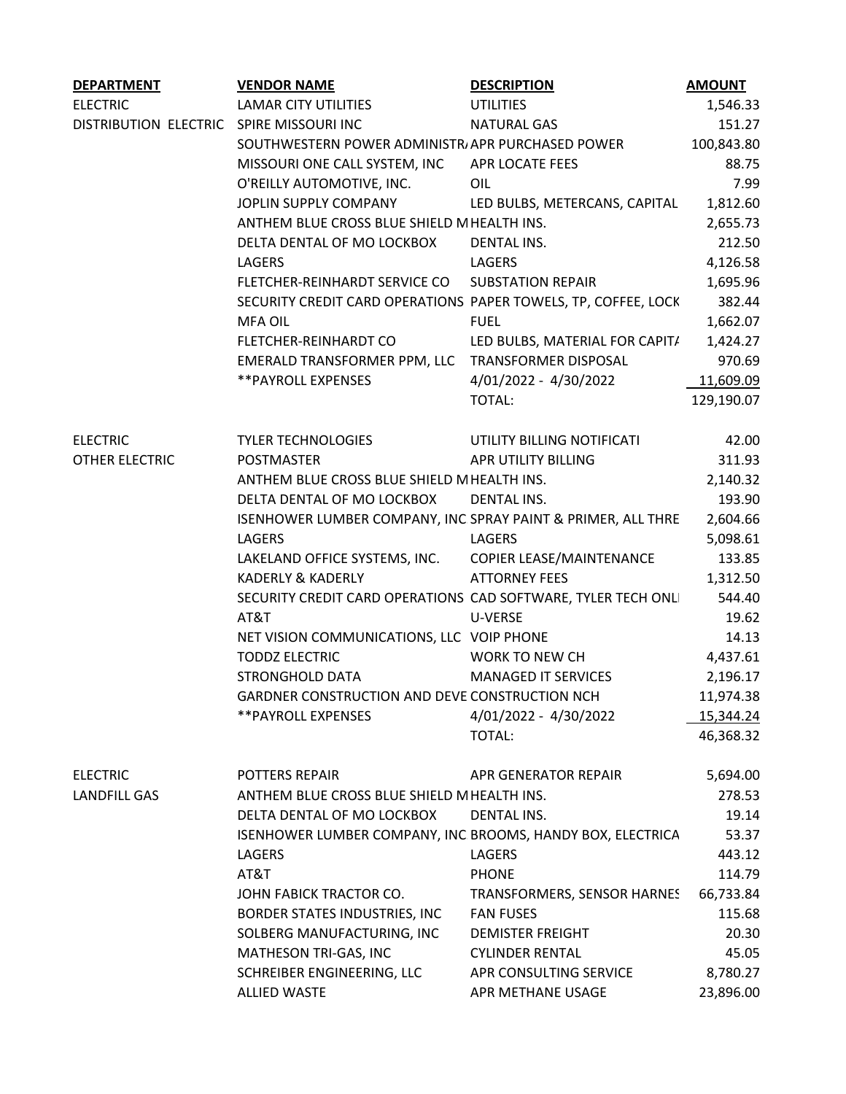| <b>DEPARTMENT</b>                        | <b>VENDOR NAME</b>                                             | <b>DESCRIPTION</b>             | <b>AMOUNT</b> |
|------------------------------------------|----------------------------------------------------------------|--------------------------------|---------------|
| <b>ELECTRIC</b>                          | <b>LAMAR CITY UTILITIES</b>                                    | <b>UTILITIES</b>               | 1,546.33      |
| DISTRIBUTION ELECTRIC SPIRE MISSOURI INC |                                                                | <b>NATURAL GAS</b>             | 151.27        |
|                                          | SOUTHWESTERN POWER ADMINISTR, APR PURCHASED POWER              |                                | 100,843.80    |
|                                          | MISSOURI ONE CALL SYSTEM, INC                                  | APR LOCATE FEES                | 88.75         |
|                                          | O'REILLY AUTOMOTIVE, INC.                                      | OIL                            | 7.99          |
|                                          | JOPLIN SUPPLY COMPANY                                          | LED BULBS, METERCANS, CAPITAL  | 1,812.60      |
|                                          |                                                                |                                |               |
|                                          | ANTHEM BLUE CROSS BLUE SHIELD MHEALTH INS.                     |                                | 2,655.73      |
|                                          | DELTA DENTAL OF MO LOCKBOX                                     | <b>DENTAL INS.</b>             | 212.50        |
|                                          | LAGERS                                                         | LAGERS                         | 4,126.58      |
|                                          | FLETCHER-REINHARDT SERVICE CO  SUBSTATION REPAIR               |                                | 1,695.96      |
|                                          | SECURITY CREDIT CARD OPERATIONS PAPER TOWELS, TP, COFFEE, LOCK |                                | 382.44        |
|                                          | MFA OIL                                                        | <b>FUEL</b>                    | 1,662.07      |
|                                          | FLETCHER-REINHARDT CO                                          | LED BULBS, MATERIAL FOR CAPIT/ | 1,424.27      |
|                                          | EMERALD TRANSFORMER PPM, LLC TRANSFORMER DISPOSAL              |                                | 970.69        |
|                                          | ** PAYROLL EXPENSES                                            | 4/01/2022 - 4/30/2022          | 11,609.09     |
|                                          |                                                                | TOTAL:                         | 129,190.07    |
|                                          |                                                                |                                |               |
|                                          |                                                                |                                |               |
| <b>ELECTRIC</b>                          | <b>TYLER TECHNOLOGIES</b>                                      | UTILITY BILLING NOTIFICATI     | 42.00         |
| OTHER ELECTRIC                           | POSTMASTER                                                     | APR UTILITY BILLING            | 311.93        |
|                                          | ANTHEM BLUE CROSS BLUE SHIELD MHEALTH INS.                     |                                | 2,140.32      |
|                                          | DELTA DENTAL OF MO LOCKBOX                                     | <b>DENTAL INS.</b>             | 193.90        |
|                                          | ISENHOWER LUMBER COMPANY, INC SPRAY PAINT & PRIMER, ALL THRE   |                                | 2,604.66      |
|                                          | LAGERS                                                         | LAGERS                         | 5,098.61      |
|                                          | LAKELAND OFFICE SYSTEMS, INC.                                  | COPIER LEASE/MAINTENANCE       | 133.85        |
|                                          | <b>KADERLY &amp; KADERLY</b>                                   | <b>ATTORNEY FEES</b>           | 1,312.50      |
|                                          | SECURITY CREDIT CARD OPERATIONS CAD SOFTWARE, TYLER TECH ONL   |                                | 544.40        |
|                                          | AT&T                                                           | U-VERSE                        | 19.62         |
|                                          | NET VISION COMMUNICATIONS, LLC VOIP PHONE                      |                                | 14.13         |
|                                          |                                                                |                                |               |
|                                          | <b>TODDZ ELECTRIC</b>                                          | WORK TO NEW CH                 | 4,437.61      |
|                                          | STRONGHOLD DATA                                                | <b>MANAGED IT SERVICES</b>     | 2,196.17      |
|                                          | GARDNER CONSTRUCTION AND DEVE CONSTRUCTION NCH                 |                                | 11,974.38     |
|                                          | ** PAYROLL EXPENSES                                            | 4/01/2022 - 4/30/2022          | 15,344.24     |
|                                          |                                                                | TOTAL:                         | 46,368.32     |
|                                          |                                                                |                                |               |
| <b>ELECTRIC</b>                          | POTTERS REPAIR                                                 | APR GENERATOR REPAIR           | 5,694.00      |
| LANDFILL GAS                             | ANTHEM BLUE CROSS BLUE SHIELD MHEALTH INS.                     |                                | 278.53        |
|                                          | DELTA DENTAL OF MO LOCKBOX                                     | DENTAL INS.                    | 19.14         |
|                                          | ISENHOWER LUMBER COMPANY, INC BROOMS, HANDY BOX, ELECTRICA     |                                | 53.37         |
|                                          | LAGERS                                                         | LAGERS                         | 443.12        |
|                                          | AT&T                                                           | PHONE                          | 114.79        |
|                                          |                                                                |                                |               |
|                                          | JOHN FABICK TRACTOR CO.                                        | TRANSFORMERS, SENSOR HARNES    | 66,733.84     |
|                                          | BORDER STATES INDUSTRIES, INC                                  | <b>FAN FUSES</b>               | 115.68        |
|                                          | SOLBERG MANUFACTURING, INC                                     | <b>DEMISTER FREIGHT</b>        | 20.30         |
|                                          | MATHESON TRI-GAS, INC                                          | <b>CYLINDER RENTAL</b>         | 45.05         |
|                                          | SCHREIBER ENGINEERING, LLC                                     | APR CONSULTING SERVICE         | 8,780.27      |
|                                          | <b>ALLIED WASTE</b>                                            | APR METHANE USAGE              | 23,896.00     |
|                                          |                                                                |                                |               |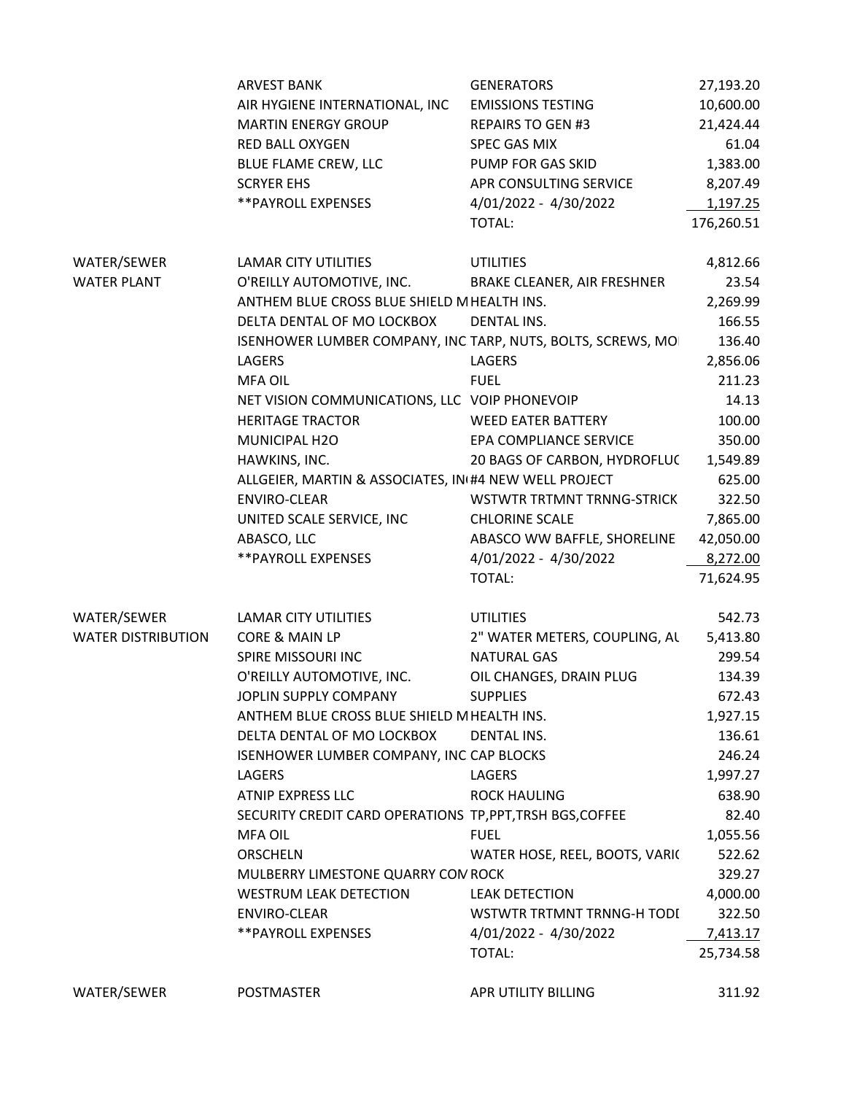|                           | <b>ARVEST BANK</b>                                           | <b>GENERATORS</b>              | 27,193.20  |
|---------------------------|--------------------------------------------------------------|--------------------------------|------------|
|                           | AIR HYGIENE INTERNATIONAL, INC                               | <b>EMISSIONS TESTING</b>       | 10,600.00  |
|                           | <b>MARTIN ENERGY GROUP</b>                                   | <b>REPAIRS TO GEN #3</b>       | 21,424.44  |
|                           | <b>RED BALL OXYGEN</b>                                       | <b>SPEC GAS MIX</b>            | 61.04      |
|                           | BLUE FLAME CREW, LLC                                         | PUMP FOR GAS SKID              | 1,383.00   |
|                           | <b>SCRYER EHS</b>                                            | APR CONSULTING SERVICE         | 8,207.49   |
|                           | ** PAYROLL EXPENSES                                          | 4/01/2022 - 4/30/2022          | 1,197.25   |
|                           |                                                              | <b>TOTAL:</b>                  | 176,260.51 |
| WATER/SEWER               | LAMAR CITY UTILITIES                                         | <b>UTILITIES</b>               | 4,812.66   |
| <b>WATER PLANT</b>        | O'REILLY AUTOMOTIVE, INC.                                    | BRAKE CLEANER, AIR FRESHNER    | 23.54      |
|                           | ANTHEM BLUE CROSS BLUE SHIELD MHEALTH INS.                   |                                | 2,269.99   |
|                           | DELTA DENTAL OF MO LOCKBOX                                   | <b>DENTAL INS.</b>             | 166.55     |
|                           | ISENHOWER LUMBER COMPANY, INC. TARP, NUTS, BOLTS, SCREWS, MO |                                | 136.40     |
|                           | <b>LAGERS</b>                                                | LAGERS                         | 2,856.06   |
|                           | <b>MFA OIL</b>                                               | <b>FUEL</b>                    | 211.23     |
|                           | NET VISION COMMUNICATIONS, LLC VOIP PHONEVOIP                |                                | 14.13      |
|                           | <b>HERITAGE TRACTOR</b>                                      | <b>WEED EATER BATTERY</b>      | 100.00     |
|                           | MUNICIPAL H2O                                                | EPA COMPLIANCE SERVICE         | 350.00     |
|                           | HAWKINS, INC.                                                | 20 BAGS OF CARBON, HYDROFLUC   | 1,549.89   |
|                           | ALLGEIER, MARTIN & ASSOCIATES, IN(#4 NEW WELL PROJECT        |                                | 625.00     |
|                           | ENVIRO-CLEAR                                                 | WSTWTR TRTMNT TRNNG-STRICK     | 322.50     |
|                           | UNITED SCALE SERVICE, INC                                    | <b>CHLORINE SCALE</b>          | 7,865.00   |
|                           | ABASCO, LLC                                                  | ABASCO WW BAFFLE, SHORELINE    | 42,050.00  |
|                           | **PAYROLL EXPENSES                                           | 4/01/2022 - 4/30/2022          | 8,272.00   |
|                           |                                                              | TOTAL:                         | 71,624.95  |
| WATER/SEWER               | LAMAR CITY UTILITIES                                         | <b>UTILITIES</b>               | 542.73     |
| <b>WATER DISTRIBUTION</b> | CORE & MAIN LP                                               | 2" WATER METERS, COUPLING, AL  | 5,413.80   |
|                           | SPIRE MISSOURI INC                                           | <b>NATURAL GAS</b>             | 299.54     |
|                           | O'REILLY AUTOMOTIVE, INC.                                    | OIL CHANGES, DRAIN PLUG        | 134.39     |
|                           | JOPLIN SUPPLY COMPANY                                        | <b>SUPPLIES</b>                | 672.43     |
|                           | ANTHEM BLUE CROSS BLUE SHIELD MHEALTH INS.                   |                                | 1,927.15   |
|                           | DELTA DENTAL OF MO LOCKBOX                                   | DENTAL INS.                    | 136.61     |
|                           | ISENHOWER LUMBER COMPANY, INC. CAP BLOCKS                    |                                | 246.24     |
|                           | <b>LAGERS</b>                                                | LAGERS                         | 1,997.27   |
|                           | ATNIP EXPRESS LLC                                            | <b>ROCK HAULING</b>            | 638.90     |
|                           | SECURITY CREDIT CARD OPERATIONS TP, PPT, TRSH BGS, COFFEE    |                                | 82.40      |
|                           | <b>MFA OIL</b>                                               | <b>FUEL</b>                    | 1,055.56   |
|                           | <b>ORSCHELN</b>                                              | WATER HOSE, REEL, BOOTS, VARIC | 522.62     |
|                           | MULBERRY LIMESTONE QUARRY CON ROCK                           |                                | 329.27     |
|                           | <b>WESTRUM LEAK DETECTION</b>                                | <b>LEAK DETECTION</b>          | 4,000.00   |
|                           | ENVIRO-CLEAR                                                 | WSTWTR TRTMNT TRNNG-H TODI     | 322.50     |
|                           | **PAYROLL EXPENSES                                           | 4/01/2022 - 4/30/2022          | 7,413.17   |
|                           |                                                              | <b>TOTAL:</b>                  | 25,734.58  |
| WATER/SEWER               | <b>POSTMASTER</b>                                            | APR UTILITY BILLING            | 311.92     |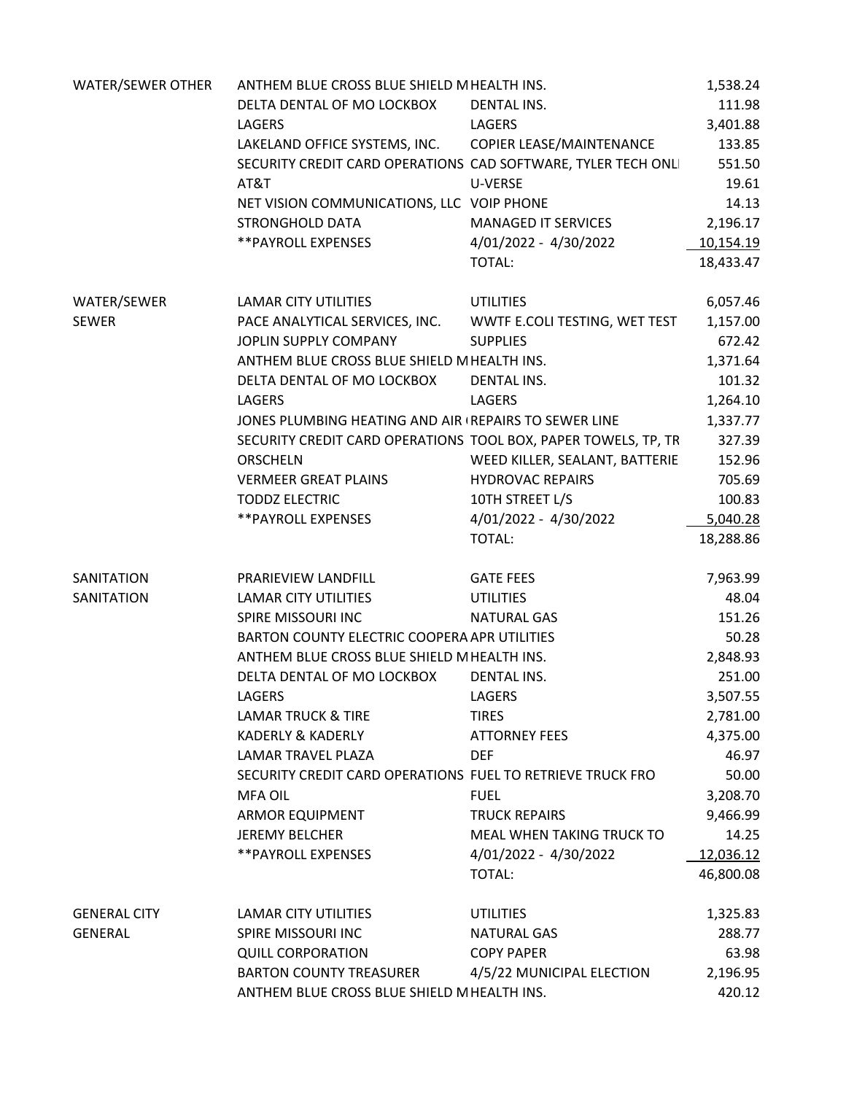| WATER/SEWER OTHER   | ANTHEM BLUE CROSS BLUE SHIELD MHEALTH INS.                     | 1,538.24                       |           |
|---------------------|----------------------------------------------------------------|--------------------------------|-----------|
|                     | DELTA DENTAL OF MO LOCKBOX                                     | DENTAL INS.                    | 111.98    |
|                     | LAGERS                                                         | <b>LAGERS</b>                  | 3,401.88  |
|                     | LAKELAND OFFICE SYSTEMS, INC. COPIER LEASE/MAINTENANCE         |                                | 133.85    |
|                     | SECURITY CREDIT CARD OPERATIONS CAD SOFTWARE, TYLER TECH ONLI  |                                | 551.50    |
|                     | AT&T                                                           | U-VERSE                        | 19.61     |
|                     | NET VISION COMMUNICATIONS, LLC VOIP PHONE                      |                                | 14.13     |
|                     | <b>STRONGHOLD DATA</b>                                         | <b>MANAGED IT SERVICES</b>     | 2,196.17  |
|                     | **PAYROLL EXPENSES                                             | 4/01/2022 - 4/30/2022          | 10,154.19 |
|                     |                                                                | TOTAL:                         | 18,433.47 |
| WATER/SEWER         | LAMAR CITY UTILITIES                                           | <b>UTILITIES</b>               | 6,057.46  |
| SEWER               | PACE ANALYTICAL SERVICES, INC. WWTF E.COLI TESTING, WET TEST   |                                | 1,157.00  |
|                     | JOPLIN SUPPLY COMPANY                                          | 672.42                         |           |
|                     | ANTHEM BLUE CROSS BLUE SHIELD MHEALTH INS.                     |                                | 1,371.64  |
|                     | DELTA DENTAL OF MO LOCKBOX                                     | DENTAL INS.                    | 101.32    |
|                     | LAGERS                                                         | LAGERS                         | 1,264.10  |
|                     | JONES PLUMBING HEATING AND AIR (REPAIRS TO SEWER LINE          |                                | 1,337.77  |
|                     | SECURITY CREDIT CARD OPERATIONS TOOL BOX, PAPER TOWELS, TP, TR |                                | 327.39    |
|                     | <b>ORSCHELN</b>                                                | WEED KILLER, SEALANT, BATTERIE | 152.96    |
|                     | VERMEER GREAT PLAINS                                           | <b>HYDROVAC REPAIRS</b>        | 705.69    |
|                     | <b>TODDZ ELECTRIC</b>                                          | 10TH STREET L/S                | 100.83    |
|                     | **PAYROLL EXPENSES                                             | 4/01/2022 - 4/30/2022          | 5,040.28  |
|                     |                                                                | TOTAL:                         | 18,288.86 |
| SANITATION          | PRARIEVIEW LANDFILL                                            | <b>GATE FEES</b>               | 7,963.99  |
| SANITATION          | LAMAR CITY UTILITIES                                           | <b>UTILITIES</b>               | 48.04     |
|                     | SPIRE MISSOURI INC                                             | 151.26                         |           |
|                     | BARTON COUNTY ELECTRIC COOPERA APR UTILITIES                   | 50.28                          |           |
|                     | ANTHEM BLUE CROSS BLUE SHIELD MHEALTH INS.                     | 2,848.93                       |           |
|                     | DELTA DENTAL OF MO LOCKBOX                                     | <b>DENTAL INS.</b>             | 251.00    |
|                     | LAGERS                                                         | <b>LAGERS</b>                  | 3,507.55  |
|                     | <b>LAMAR TRUCK &amp; TIRE</b>                                  | <b>TIRES</b>                   | 2,781.00  |
|                     | <b>KADERLY &amp; KADERLY</b>                                   | <b>ATTORNEY FEES</b>           | 4,375.00  |
|                     | LAMAR TRAVEL PLAZA                                             | <b>DEF</b>                     | 46.97     |
|                     | SECURITY CREDIT CARD OPERATIONS FUEL TO RETRIEVE TRUCK FRO     |                                | 50.00     |
|                     | <b>MFA OIL</b>                                                 | <b>FUEL</b>                    | 3,208.70  |
|                     | <b>ARMOR EQUIPMENT</b>                                         | <b>TRUCK REPAIRS</b>           | 9,466.99  |
|                     | <b>JEREMY BELCHER</b>                                          | MEAL WHEN TAKING TRUCK TO      | 14.25     |
|                     | **PAYROLL EXPENSES                                             | 4/01/2022 - 4/30/2022          | 12,036.12 |
|                     |                                                                | TOTAL:                         | 46,800.08 |
| <b>GENERAL CITY</b> | <b>LAMAR CITY UTILITIES</b>                                    | <b>UTILITIES</b>               | 1,325.83  |
| <b>GENERAL</b>      | SPIRE MISSOURI INC                                             | NATURAL GAS                    | 288.77    |
|                     | <b>QUILL CORPORATION</b>                                       | <b>COPY PAPER</b>              | 63.98     |
|                     | <b>BARTON COUNTY TREASURER</b>                                 | 4/5/22 MUNICIPAL ELECTION      | 2,196.95  |
|                     | ANTHEM BLUE CROSS BLUE SHIELD MHEALTH INS.                     | 420.12                         |           |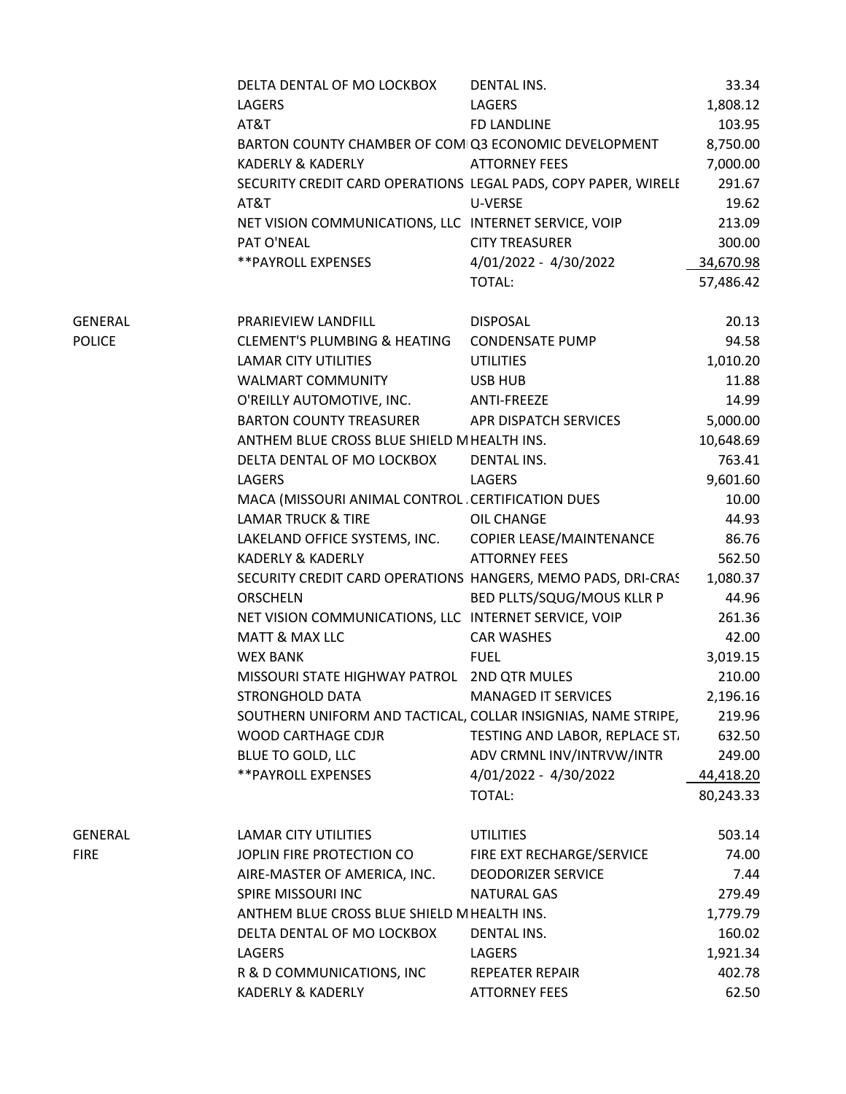|               | DELTA DENTAL OF MO LOCKBOX                                     | DENTAL INS.                    | 33.34     |
|---------------|----------------------------------------------------------------|--------------------------------|-----------|
|               | LAGERS                                                         | LAGERS                         | 1,808.12  |
|               | AT&T                                                           | FD LANDLINE                    | 103.95    |
|               | BARTON COUNTY CHAMBER OF COMIQ3 ECONOMIC DEVELOPMENT           |                                | 8,750.00  |
|               | <b>KADERLY &amp; KADERLY</b>                                   | <b>ATTORNEY FEES</b>           | 7,000.00  |
|               | SECURITY CREDIT CARD OPERATIONS LEGAL PADS, COPY PAPER, WIRELE |                                | 291.67    |
|               | AT&T                                                           | U-VERSE                        | 19.62     |
|               | NET VISION COMMUNICATIONS, LLC INTERNET SERVICE, VOIP          |                                | 213.09    |
|               | PAT O'NEAL                                                     | <b>CITY TREASURER</b>          | 300.00    |
|               | ** PAYROLL EXPENSES                                            | 4/01/2022 - 4/30/2022          | 34,670.98 |
|               |                                                                | TOTAL:                         | 57,486.42 |
|               |                                                                |                                |           |
| GENERAL       | PRARIEVIEW LANDFILL                                            | <b>DISPOSAL</b>                | 20.13     |
| <b>POLICE</b> | <b>CLEMENT'S PLUMBING &amp; HEATING</b>                        | <b>CONDENSATE PUMP</b>         | 94.58     |
|               | LAMAR CITY UTILITIES                                           | <b>UTILITIES</b>               | 1,010.20  |
|               | <b>WALMART COMMUNITY</b>                                       | USB HUB                        | 11.88     |
|               | O'REILLY AUTOMOTIVE, INC.                                      | ANTI-FREEZE                    | 14.99     |
|               | <b>BARTON COUNTY TREASURER</b>                                 | APR DISPATCH SERVICES          | 5,000.00  |
|               | ANTHEM BLUE CROSS BLUE SHIELD MHEALTH INS.                     |                                | 10,648.69 |
|               | DELTA DENTAL OF MO LOCKBOX                                     | DENTAL INS.                    | 763.41    |
|               | LAGERS                                                         | LAGERS                         | 9,601.60  |
|               | MACA (MISSOURI ANIMAL CONTROL CERTIFICATION DUES               |                                | 10.00     |
|               | <b>LAMAR TRUCK &amp; TIRE</b>                                  | OIL CHANGE                     | 44.93     |
|               | LAKELAND OFFICE SYSTEMS, INC.                                  | COPIER LEASE/MAINTENANCE       | 86.76     |
|               | <b>KADERLY &amp; KADERLY</b>                                   | <b>ATTORNEY FEES</b>           | 562.50    |
|               | SECURITY CREDIT CARD OPERATIONS HANGERS, MEMO PADS, DRI-CRAS   |                                | 1,080.37  |
|               | <b>ORSCHELN</b>                                                | BED PLLTS/SQUG/MOUS KLLR P     | 44.96     |
|               | NET VISION COMMUNICATIONS, LLC INTERNET SERVICE, VOIP          |                                | 261.36    |
|               | <b>MATT &amp; MAX LLC</b>                                      | <b>CAR WASHES</b>              | 42.00     |
|               | <b>WEX BANK</b>                                                | <b>FUEL</b>                    | 3,019.15  |
|               | MISSOURI STATE HIGHWAY PATROL 2ND QTR MULES                    |                                | 210.00    |
|               | STRONGHOLD DATA                                                | <b>MANAGED IT SERVICES</b>     | 2,196.16  |
|               | SOUTHERN UNIFORM AND TACTICAL, COLLAR INSIGNIAS, NAME STRIPE,  |                                | 219.96    |
|               | WOOD CARTHAGE CDJR                                             | TESTING AND LABOR, REPLACE ST. | 632.50    |
|               | BLUE TO GOLD, LLC                                              | ADV CRMNL INV/INTRVW/INTR      | 249.00    |
|               | ** PAYROLL EXPENSES                                            | 4/01/2022 - 4/30/2022          | 44,418.20 |
|               |                                                                | TOTAL:                         | 80,243.33 |
|               |                                                                |                                |           |
| GENERAL       | <b>LAMAR CITY UTILITIES</b>                                    | <b>UTILITIES</b>               | 503.14    |
| <b>FIRE</b>   | JOPLIN FIRE PROTECTION CO                                      | FIRE EXT RECHARGE/SERVICE      | 74.00     |
|               | AIRE-MASTER OF AMERICA, INC.                                   | <b>DEODORIZER SERVICE</b>      | 7.44      |
|               | SPIRE MISSOURI INC                                             | <b>NATURAL GAS</b>             | 279.49    |
|               | ANTHEM BLUE CROSS BLUE SHIELD MHEALTH INS.                     |                                | 1,779.79  |
|               | DELTA DENTAL OF MO LOCKBOX                                     | <b>DENTAL INS.</b>             | 160.02    |
|               | LAGERS                                                         | LAGERS                         | 1,921.34  |
|               | R & D COMMUNICATIONS, INC                                      | <b>REPEATER REPAIR</b>         | 402.78    |
|               | KADERLY & KADERLY                                              | <b>ATTORNEY FEES</b>           | 62.50     |
|               |                                                                |                                |           |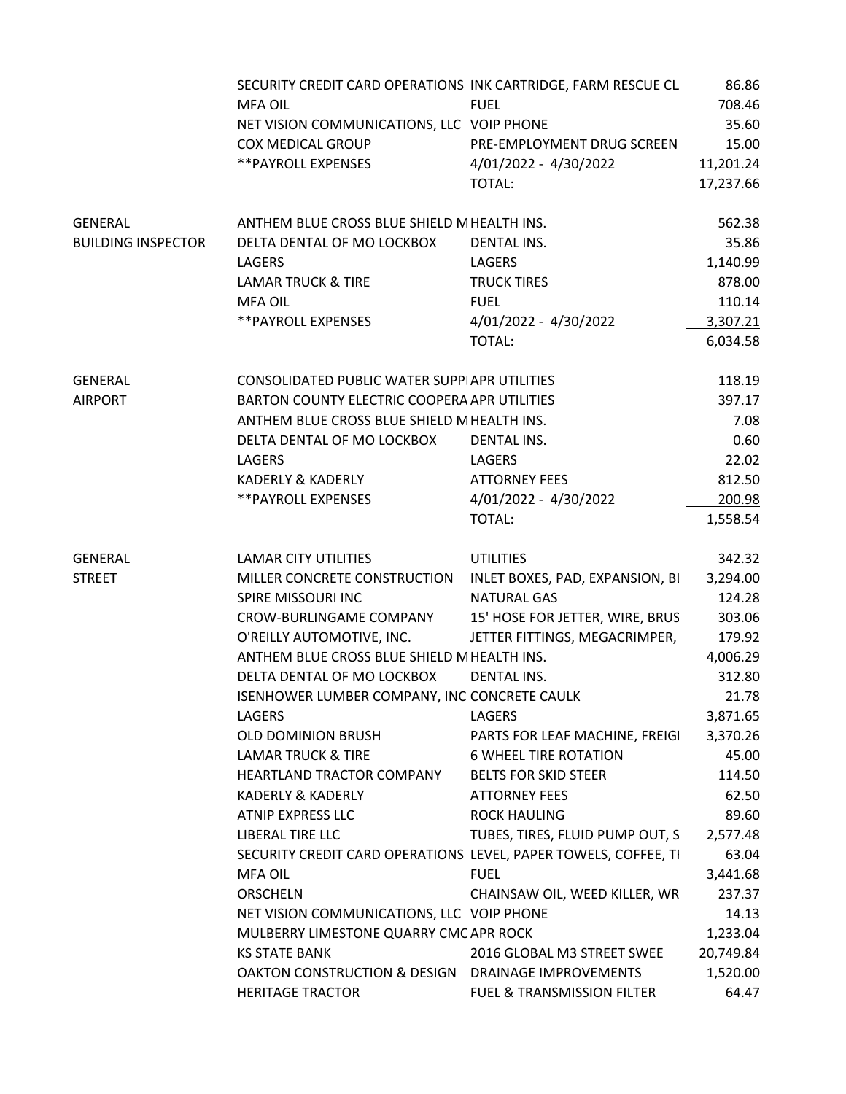|                           | SECURITY CREDIT CARD OPERATIONS INK CARTRIDGE, FARM RESCUE CL   |                                 | 86.86     |
|---------------------------|-----------------------------------------------------------------|---------------------------------|-----------|
|                           | MFA OIL                                                         | <b>FUEL</b>                     | 708.46    |
|                           | NET VISION COMMUNICATIONS, LLC VOIP PHONE                       |                                 | 35.60     |
|                           | <b>COX MEDICAL GROUP</b>                                        | PRE-EMPLOYMENT DRUG SCREEN      | 15.00     |
|                           | **PAYROLL EXPENSES                                              | 4/01/2022 - 4/30/2022           | 11,201.24 |
|                           |                                                                 | TOTAL:                          | 17,237.66 |
|                           |                                                                 |                                 |           |
| GENERAL                   | ANTHEM BLUE CROSS BLUE SHIELD MHEALTH INS.                      |                                 | 562.38    |
| <b>BUILDING INSPECTOR</b> | DELTA DENTAL OF MO LOCKBOX                                      | <b>DENTAL INS.</b>              | 35.86     |
|                           | LAGERS                                                          | LAGERS                          | 1,140.99  |
|                           | <b>LAMAR TRUCK &amp; TIRE</b>                                   | <b>TRUCK TIRES</b>              | 878.00    |
|                           | MFA OIL                                                         | <b>FUEL</b>                     | 110.14    |
|                           | ** PAYROLL EXPENSES                                             | 4/01/2022 - 4/30/2022           | 3,307.21  |
|                           |                                                                 | TOTAL:                          | 6,034.58  |
|                           |                                                                 |                                 |           |
| GENERAL                   | CONSOLIDATED PUBLIC WATER SUPPIAPR UTILITIES                    |                                 | 118.19    |
| <b>AIRPORT</b>            | BARTON COUNTY ELECTRIC COOPERA APR UTILITIES                    |                                 | 397.17    |
|                           | ANTHEM BLUE CROSS BLUE SHIELD MHEALTH INS.                      |                                 | 7.08      |
|                           | DELTA DENTAL OF MO LOCKBOX                                      | DENTAL INS.                     | 0.60      |
|                           | LAGERS                                                          | LAGERS                          | 22.02     |
|                           | <b>KADERLY &amp; KADERLY</b>                                    | <b>ATTORNEY FEES</b>            | 812.50    |
|                           | **PAYROLL EXPENSES                                              | 4/01/2022 - 4/30/2022           | 200.98    |
|                           |                                                                 | TOTAL:                          | 1,558.54  |
|                           |                                                                 |                                 |           |
| GENERAL                   | LAMAR CITY UTILITIES                                            | <b>UTILITIES</b>                | 342.32    |
| <b>STREET</b>             | MILLER CONCRETE CONSTRUCTION                                    | INLET BOXES, PAD, EXPANSION, BI | 3,294.00  |
|                           | SPIRE MISSOURI INC                                              | <b>NATURAL GAS</b>              | 124.28    |
|                           | CROW-BURLINGAME COMPANY                                         | 15' HOSE FOR JETTER, WIRE, BRUS | 303.06    |
|                           | O'REILLY AUTOMOTIVE, INC.                                       | JETTER FITTINGS, MEGACRIMPER,   | 179.92    |
|                           | ANTHEM BLUE CROSS BLUE SHIELD MHEALTH INS.                      |                                 | 4,006.29  |
|                           | DELTA DENTAL OF MO LOCKBOX                                      | <b>DENTAL INS.</b>              | 312.80    |
|                           | ISENHOWER LUMBER COMPANY, INC CONCRETE CAULK                    |                                 | 21.78     |
|                           | LAGERS                                                          | LAGERS                          | 3,871.65  |
|                           | OLD DOMINION BRUSH                                              | PARTS FOR LEAF MACHINE, FREIGI  | 3,370.26  |
|                           | <b>LAMAR TRUCK &amp; TIRE</b>                                   | <b>6 WHEEL TIRE ROTATION</b>    | 45.00     |
|                           | HEARTLAND TRACTOR COMPANY                                       | <b>BELTS FOR SKID STEER</b>     | 114.50    |
|                           | <b>KADERLY &amp; KADERLY</b>                                    | <b>ATTORNEY FEES</b>            | 62.50     |
|                           | ATNIP EXPRESS LLC                                               | ROCK HAULING                    | 89.60     |
|                           | LIBERAL TIRE LLC                                                | TUBES, TIRES, FLUID PUMP OUT, S | 2,577.48  |
|                           | SECURITY CREDIT CARD OPERATIONS LEVEL, PAPER TOWELS, COFFEE, TI |                                 | 63.04     |
|                           | MFA OIL                                                         | <b>FUEL</b>                     | 3,441.68  |
|                           | <b>ORSCHELN</b>                                                 | CHAINSAW OIL, WEED KILLER, WR   | 237.37    |
|                           | NET VISION COMMUNICATIONS, LLC VOIP PHONE                       |                                 | 14.13     |
|                           | MULBERRY LIMESTONE QUARRY CMC APR ROCK                          |                                 | 1,233.04  |
|                           | <b>KS STATE BANK</b>                                            | 2016 GLOBAL M3 STREET SWEE      | 20,749.84 |
|                           | OAKTON CONSTRUCTION & DESIGN DRAINAGE IMPROVEMENTS              |                                 | 1,520.00  |
|                           | <b>HERITAGE TRACTOR</b>                                         | FUEL & TRANSMISSION FILTER      | 64.47     |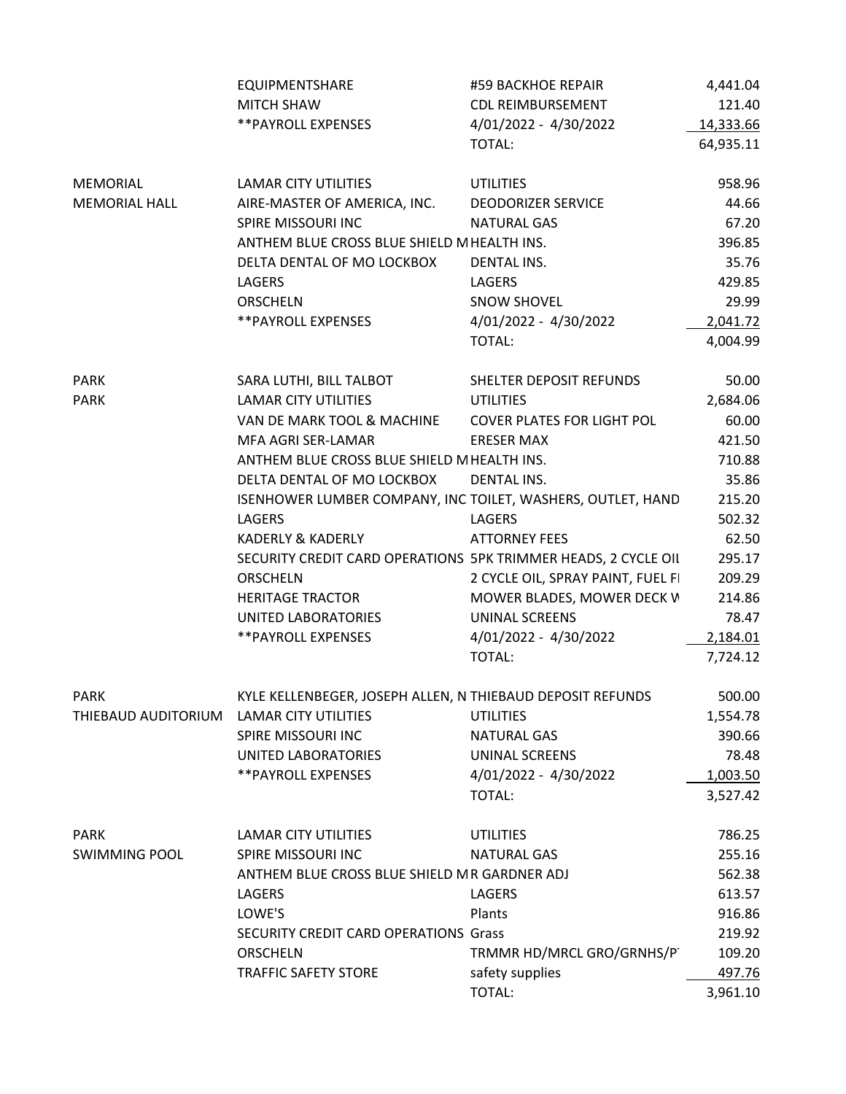|                      | EQUIPMENTSHARE                                                 | #59 BACKHOE REPAIR                | 4,441.04  |
|----------------------|----------------------------------------------------------------|-----------------------------------|-----------|
|                      | <b>MITCH SHAW</b>                                              | <b>CDL REIMBURSEMENT</b>          | 121.40    |
|                      | ** PAYROLL EXPENSES                                            | 4/01/2022 - 4/30/2022             | 14,333.66 |
|                      |                                                                | TOTAL:                            | 64,935.11 |
|                      |                                                                |                                   |           |
| MEMORIAL             | <b>LAMAR CITY UTILITIES</b>                                    | <b>UTILITIES</b>                  | 958.96    |
| <b>MEMORIAL HALL</b> | AIRE-MASTER OF AMERICA, INC.                                   | <b>DEODORIZER SERVICE</b>         | 44.66     |
|                      | SPIRE MISSOURI INC                                             | NATURAL GAS                       | 67.20     |
|                      | ANTHEM BLUE CROSS BLUE SHIELD MHEALTH INS.                     |                                   | 396.85    |
|                      | DELTA DENTAL OF MO LOCKBOX                                     | DENTAL INS.                       | 35.76     |
|                      | LAGERS                                                         | LAGERS                            | 429.85    |
|                      | <b>ORSCHELN</b>                                                | <b>SNOW SHOVEL</b>                | 29.99     |
|                      | ** PAYROLL EXPENSES                                            | 4/01/2022 - 4/30/2022             | 2,041.72  |
|                      |                                                                | TOTAL:                            | 4,004.99  |
|                      |                                                                |                                   |           |
| <b>PARK</b>          | SARA LUTHI, BILL TALBOT                                        | SHELTER DEPOSIT REFUNDS           | 50.00     |
| <b>PARK</b>          | <b>LAMAR CITY UTILITIES</b>                                    | <b>UTILITIES</b>                  | 2,684.06  |
|                      | VAN DE MARK TOOL & MACHINE                                     | <b>COVER PLATES FOR LIGHT POL</b> | 60.00     |
|                      | MFA AGRI SER-LAMAR                                             | <b>ERESER MAX</b>                 | 421.50    |
|                      | ANTHEM BLUE CROSS BLUE SHIELD MHEALTH INS.                     |                                   | 710.88    |
|                      | DELTA DENTAL OF MO LOCKBOX                                     | <b>DENTAL INS.</b>                | 35.86     |
|                      | ISENHOWER LUMBER COMPANY, INC. TOILET, WASHERS, OUTLET, HAND   |                                   | 215.20    |
|                      |                                                                |                                   |           |
|                      | LAGERS                                                         | LAGERS                            | 502.32    |
|                      | <b>KADERLY &amp; KADERLY</b>                                   | <b>ATTORNEY FEES</b>              | 62.50     |
|                      | SECURITY CREDIT CARD OPERATIONS 5PK TRIMMER HEADS, 2 CYCLE OIL |                                   | 295.17    |
|                      | ORSCHELN                                                       | 2 CYCLE OIL, SPRAY PAINT, FUEL FI | 209.29    |
|                      | <b>HERITAGE TRACTOR</b>                                        | MOWER BLADES, MOWER DECK V        | 214.86    |
|                      | UNITED LABORATORIES                                            | UNINAL SCREENS                    | 78.47     |
|                      | ** PAYROLL EXPENSES                                            | 4/01/2022 - 4/30/2022             | 2,184.01  |
|                      |                                                                | TOTAL:                            | 7,724.12  |
|                      |                                                                |                                   |           |
| <b>PARK</b>          | KYLE KELLENBEGER, JOSEPH ALLEN, N THIEBAUD DEPOSIT REFUNDS     |                                   | 500.00    |
| THIEBAUD AUDITORIUM  | <b>LAMAR CITY UTILITIES</b>                                    | <b>UTILITIES</b>                  | 1,554.78  |
|                      | SPIRE MISSOURI INC                                             | <b>NATURAL GAS</b>                | 390.66    |
|                      | UNITED LABORATORIES                                            | UNINAL SCREENS                    | 78.48     |
|                      | ** PAYROLL EXPENSES                                            | 4/01/2022 - 4/30/2022             | 1,003.50  |
|                      |                                                                | TOTAL:                            | 3,527.42  |
|                      |                                                                |                                   |           |
| <b>PARK</b>          | <b>LAMAR CITY UTILITIES</b>                                    | <b>UTILITIES</b>                  | 786.25    |
| <b>SWIMMING POOL</b> | SPIRE MISSOURI INC                                             | <b>NATURAL GAS</b>                | 255.16    |
|                      | ANTHEM BLUE CROSS BLUE SHIELD MR GARDNER ADJ                   |                                   | 562.38    |
|                      | LAGERS                                                         | LAGERS                            | 613.57    |
|                      | LOWE'S                                                         | Plants                            | 916.86    |
|                      | SECURITY CREDIT CARD OPERATIONS Grass                          |                                   | 219.92    |
|                      | <b>ORSCHELN</b>                                                | TRMMR HD/MRCL GRO/GRNHS/P         | 109.20    |
|                      | TRAFFIC SAFETY STORE                                           | safety supplies                   | 497.76    |
|                      |                                                                | TOTAL:                            | 3,961.10  |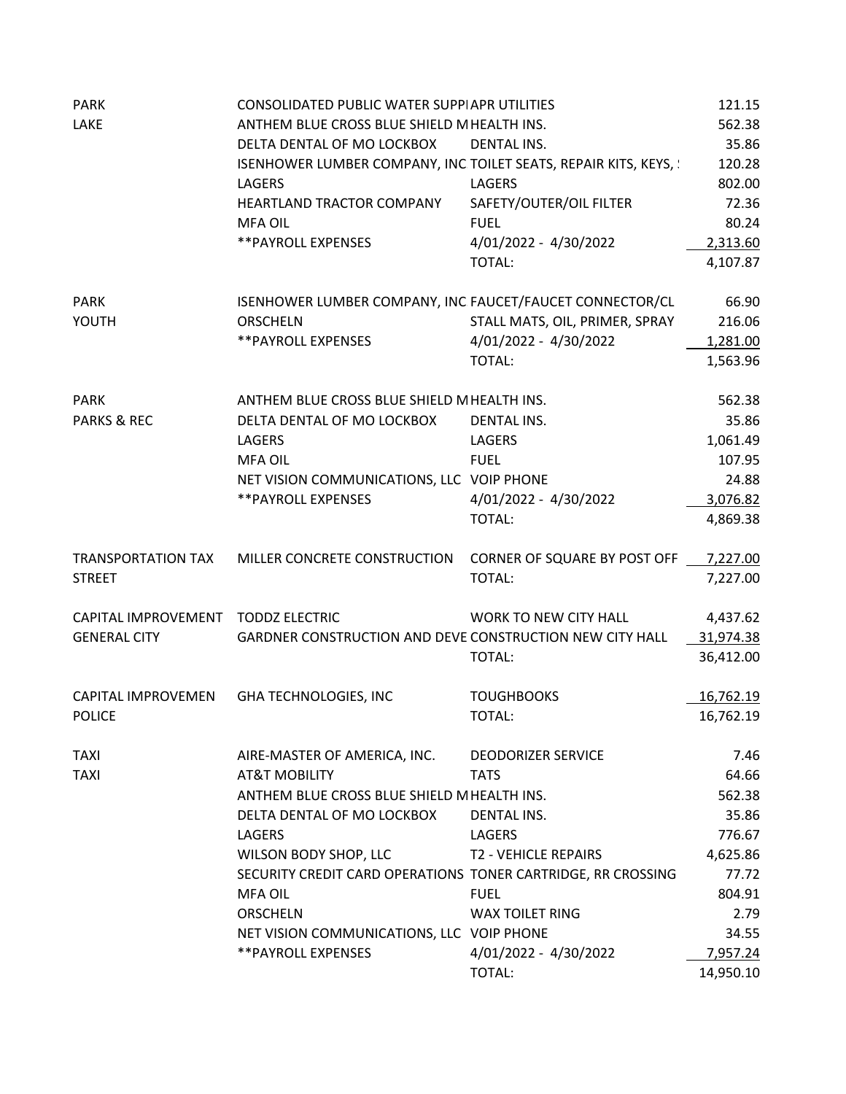| <b>PARK</b>                        | CONSOLIDATED PUBLIC WATER SUPPIAPR UTILITIES                       |                                | 121.15    |
|------------------------------------|--------------------------------------------------------------------|--------------------------------|-----------|
| LAKE                               | ANTHEM BLUE CROSS BLUE SHIELD MHEALTH INS.                         |                                | 562.38    |
|                                    | DELTA DENTAL OF MO LOCKBOX                                         | <b>DENTAL INS.</b>             | 35.86     |
|                                    | ISENHOWER LUMBER COMPANY, INC TOILET SEATS, REPAIR KITS, KEYS, !   |                                | 120.28    |
|                                    | <b>LAGERS</b>                                                      | <b>LAGERS</b>                  | 802.00    |
|                                    | HEARTLAND TRACTOR COMPANY                                          | SAFETY/OUTER/OIL FILTER        | 72.36     |
|                                    | <b>MFA OIL</b>                                                     | <b>FUEL</b>                    | 80.24     |
|                                    | **PAYROLL EXPENSES                                                 | 4/01/2022 - 4/30/2022          | 2,313.60  |
|                                    |                                                                    | TOTAL:                         | 4,107.87  |
| <b>PARK</b>                        | ISENHOWER LUMBER COMPANY, INC FAUCET/FAUCET CONNECTOR/CL           |                                | 66.90     |
| YOUTH                              | <b>ORSCHELN</b>                                                    | STALL MATS, OIL, PRIMER, SPRAY | 216.06    |
|                                    | **PAYROLL EXPENSES                                                 | 4/01/2022 - 4/30/2022          | 1,281.00  |
|                                    |                                                                    | TOTAL:                         | 1,563.96  |
| <b>PARK</b>                        | ANTHEM BLUE CROSS BLUE SHIELD MHEALTH INS.                         |                                | 562.38    |
| <b>PARKS &amp; REC</b>             | DELTA DENTAL OF MO LOCKBOX                                         | DENTAL INS.                    | 35.86     |
|                                    | LAGERS                                                             | LAGERS                         | 1,061.49  |
|                                    | <b>MFA OIL</b>                                                     | <b>FUEL</b>                    | 107.95    |
|                                    | NET VISION COMMUNICATIONS, LLC VOIP PHONE                          |                                | 24.88     |
|                                    | ** PAYROLL EXPENSES                                                | 4/01/2022 - 4/30/2022          | 3,076.82  |
|                                    |                                                                    | <b>TOTAL:</b>                  | 4,869.38  |
| <b>TRANSPORTATION TAX</b>          | MILLER CONCRETE CONSTRUCTION CORNER OF SQUARE BY POST OFF 7,227.00 |                                |           |
| <b>STREET</b>                      |                                                                    | TOTAL:                         | 7,227.00  |
| CAPITAL IMPROVEMENT TODDZ ELECTRIC |                                                                    | WORK TO NEW CITY HALL          | 4,437.62  |
| <b>GENERAL CITY</b>                | GARDNER CONSTRUCTION AND DEVE CONSTRUCTION NEW CITY HALL           |                                | 31,974.38 |
|                                    |                                                                    | TOTAL:                         | 36,412.00 |
| CAPITAL IMPROVEMEN                 | <b>GHA TECHNOLOGIES, INC</b>                                       | <b>TOUGHBOOKS</b>              | 16,762.19 |
| <b>POLICE</b>                      |                                                                    | TOTAL:                         | 16,762.19 |
| <b>TAXI</b>                        | AIRE-MASTER OF AMERICA, INC.                                       | <b>DEODORIZER SERVICE</b>      | 7.46      |
| <b>TAXI</b>                        | <b>AT&amp;T MOBILITY</b>                                           | <b>TATS</b>                    | 64.66     |
|                                    | ANTHEM BLUE CROSS BLUE SHIELD MHEALTH INS.                         |                                | 562.38    |
|                                    | DELTA DENTAL OF MO LOCKBOX                                         | DENTAL INS.                    | 35.86     |
|                                    | <b>LAGERS</b>                                                      | LAGERS                         | 776.67    |
|                                    | WILSON BODY SHOP, LLC                                              | <b>T2 - VEHICLE REPAIRS</b>    | 4,625.86  |
|                                    | SECURITY CREDIT CARD OPERATIONS TONER CARTRIDGE, RR CROSSING       |                                | 77.72     |
|                                    | <b>MFA OIL</b>                                                     | <b>FUEL</b>                    | 804.91    |
|                                    | <b>ORSCHELN</b>                                                    | WAX TOILET RING                | 2.79      |
|                                    | NET VISION COMMUNICATIONS, LLC VOIP PHONE                          |                                | 34.55     |
|                                    | **PAYROLL EXPENSES                                                 | 4/01/2022 - 4/30/2022          | 7,957.24  |
|                                    |                                                                    | TOTAL:                         | 14,950.10 |